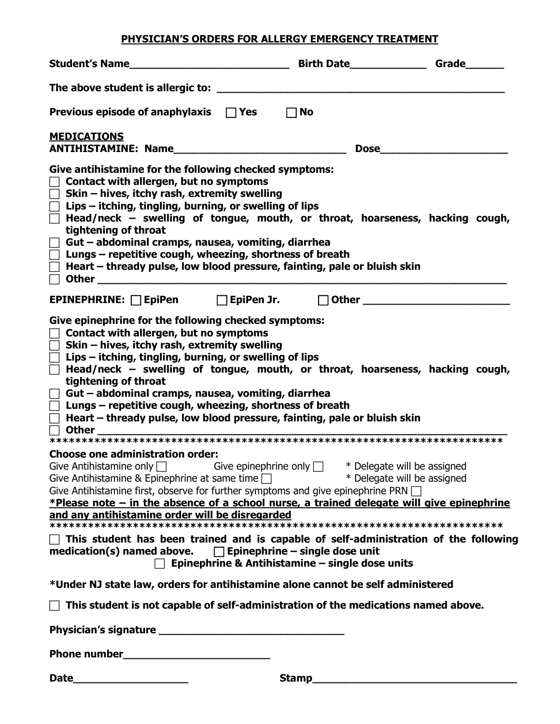## **PHYSICIAN'S ORDERS FOR ALLERGY EMERGENCY TREATMENT**

| Previous episode of anaphylaxis $\Box$ Yes                                                                                                                                                                                                                                                                                                                                                                                                                                                                                                                                                                                                                                                                                                                                                                         | $\Box$ No |  |  |
|--------------------------------------------------------------------------------------------------------------------------------------------------------------------------------------------------------------------------------------------------------------------------------------------------------------------------------------------------------------------------------------------------------------------------------------------------------------------------------------------------------------------------------------------------------------------------------------------------------------------------------------------------------------------------------------------------------------------------------------------------------------------------------------------------------------------|-----------|--|--|
| <b>MEDICATIONS</b><br>ANTIHISTAMINE: Name                                                                                                                                                                                                                                                                                                                                                                                                                                                                                                                                                                                                                                                                                                                                                                          |           |  |  |
| Give antihistamine for the following checked symptoms:<br>Contact with allergen, but no symptoms<br>Skin - hives, itchy rash, extremity swelling<br>Lips – itching, tingling, burning, or swelling of lips<br>Head/neck – swelling of tongue, mouth, or throat, hoarseness, hacking cough,<br>tightening of throat<br>Gut - abdominal cramps, nausea, vomiting, diarrhea<br>Lungs - repetitive cough, wheezing, shortness of breath<br>Heart – thready pulse, low blood pressure, fainting, pale or bluish skin                                                                                                                                                                                                                                                                                                    |           |  |  |
| EPINEPHRINE: □EpiPen □EpiPen Jr. □Other □                                                                                                                                                                                                                                                                                                                                                                                                                                                                                                                                                                                                                                                                                                                                                                          |           |  |  |
| Give epinephrine for the following checked symptoms:<br>Contact with allergen, but no symptoms<br>Skin - hives, itchy rash, extremity swelling<br>Lips – itching, tingling, burning, or swelling of lips<br>Head/neck $-$ swelling of tongue, mouth, or throat, hoarseness, hacking cough,<br>tightening of throat<br>Gut - abdominal cramps, nausea, vomiting, diarrhea<br>Lungs - repetitive cough, wheezing, shortness of breath<br>Heart – thready pulse, low blood pressure, fainting, pale or bluish skin<br><b>Other</b>                                                                                                                                                                                                                                                                                    |           |  |  |
| <b>Choose one administration order:</b><br>Give Antihistamine only $\Box$ Give epinephrine only $\Box$ * Delegate will be assigned Give Antihistamine & Epinephrine at same time $\Box$ * Delegate will be assigned<br>Give Antihistamine first, observe for further symptoms and give epinephrine PRN $\Box$<br>*Please note – in the absence of a school nurse, a trained delegate will give epinephrine<br>$\sqcap$ This student has been trained and is capable of self-administration of the following<br>medication(s) named above. $\Box$ Epinephrine – single dose unit<br>$\Box$ Epinephrine & Antihistamine – single dose units<br>*Under NJ state law, orders for antihistamine alone cannot be self administered<br>This student is not capable of self-administration of the medications named above. |           |  |  |
|                                                                                                                                                                                                                                                                                                                                                                                                                                                                                                                                                                                                                                                                                                                                                                                                                    |           |  |  |
|                                                                                                                                                                                                                                                                                                                                                                                                                                                                                                                                                                                                                                                                                                                                                                                                                    |           |  |  |
|                                                                                                                                                                                                                                                                                                                                                                                                                                                                                                                                                                                                                                                                                                                                                                                                                    |           |  |  |